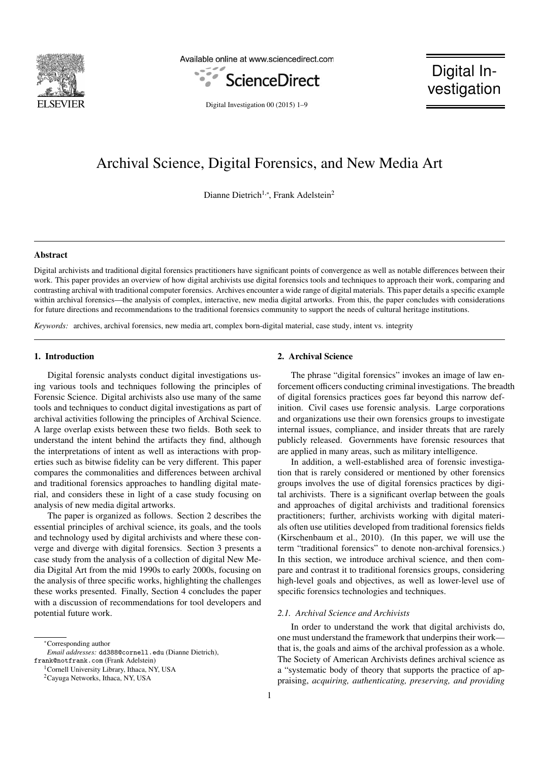

Available online at www.sciencedirect.com



Digital Investigation

Digital Investigation 00 (2015) 1–9

# Archival Science, Digital Forensics, and New Media Art

Dianne Dietrich<sup>1,∗</sup>, Frank Adelstein<sup>2</sup>

## Abstract

Digital archivists and traditional digital forensics practitioners have significant points of convergence as well as notable differences between their work. This paper provides an overview of how digital archivists use digital forensics tools and techniques to approach their work, comparing and contrasting archival with traditional computer forensics. Archives encounter a wide range of digital materials. This paper details a specific example within archival forensics—the analysis of complex, interactive, new media digital artworks. From this, the paper concludes with considerations for future directions and recommendations to the traditional forensics community to support the needs of cultural heritage institutions.

*Keywords:* archives, archival forensics, new media art, complex born-digital material, case study, intent vs. integrity

#### 1. Introduction

Digital forensic analysts conduct digital investigations using various tools and techniques following the principles of Forensic Science. Digital archivists also use many of the same tools and techniques to conduct digital investigations as part of archival activities following the principles of Archival Science. A large overlap exists between these two fields. Both seek to understand the intent behind the artifacts they find, although the interpretations of intent as well as interactions with properties such as bitwise fidelity can be very different. This paper compares the commonalities and differences between archival and traditional forensics approaches to handling digital material, and considers these in light of a case study focusing on analysis of new media digital artworks.

The paper is organized as follows. Section 2 describes the essential principles of archival science, its goals, and the tools and technology used by digital archivists and where these converge and diverge with digital forensics. Section 3 presents a case study from the analysis of a collection of digital New Media Digital Art from the mid 1990s to early 2000s, focusing on the analysis of three specific works, highlighting the challenges these works presented. Finally, Section 4 concludes the paper with a discussion of recommendations for tool developers and potential future work.

#### 2. Archival Science

The phrase "digital forensics" invokes an image of law enforcement officers conducting criminal investigations. The breadth of digital forensics practices goes far beyond this narrow definition. Civil cases use forensic analysis. Large corporations and organizations use their own forensics groups to investigate internal issues, compliance, and insider threats that are rarely publicly released. Governments have forensic resources that are applied in many areas, such as military intelligence.

In addition, a well-established area of forensic investigation that is rarely considered or mentioned by other forensics groups involves the use of digital forensics practices by digital archivists. There is a significant overlap between the goals and approaches of digital archivists and traditional forensics practitioners; further, archivists working with digital materials often use utilities developed from traditional forensics fields (Kirschenbaum et al., 2010). (In this paper, we will use the term "traditional forensics" to denote non-archival forensics.) In this section, we introduce archival science, and then compare and contrast it to traditional forensics groups, considering high-level goals and objectives, as well as lower-level use of specific forensics technologies and techniques.

## *2.1. Archival Science and Archivists*

In order to understand the work that digital archivists do, one must understand the framework that underpins their work that is, the goals and aims of the archival profession as a whole. The Society of American Archivists defines archival science as a "systematic body of theory that supports the practice of appraising, *acquiring, authenticating, preserving, and providing*

<sup>∗</sup>Corresponding author

*Email addresses:* dd388@cornell.edu (Dianne Dietrich), frank@notfrank.com (Frank Adelstein)

<sup>&</sup>lt;sup>1</sup>Cornell University Library, Ithaca, NY, USA

<sup>2</sup>Cayuga Networks, Ithaca, NY, USA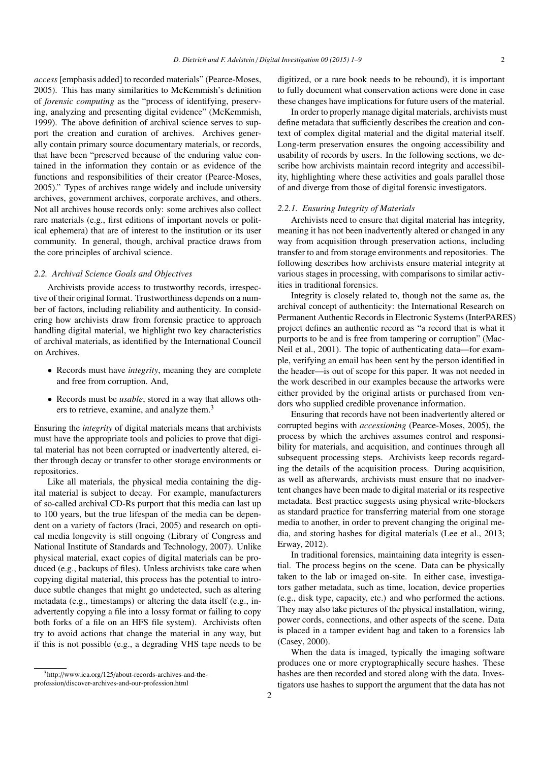*access* [emphasis added] to recorded materials" (Pearce-Moses, 2005). This has many similarities to McKemmish's definition of *forensic computing* as the "process of identifying, preserving, analyzing and presenting digital evidence" (McKemmish, 1999). The above definition of archival science serves to support the creation and curation of archives. Archives generally contain primary source documentary materials, or records, that have been "preserved because of the enduring value contained in the information they contain or as evidence of the functions and responsibilities of their creator (Pearce-Moses, 2005)." Types of archives range widely and include university archives, government archives, corporate archives, and others. Not all archives house records only: some archives also collect rare materials (e.g., first editions of important novels or political ephemera) that are of interest to the institution or its user community. In general, though, archival practice draws from the core principles of archival science.

## *2.2. Archival Science Goals and Objectives*

Archivists provide access to trustworthy records, irrespective of their original format. Trustworthiness depends on a number of factors, including reliability and authenticity. In considering how archivists draw from forensic practice to approach handling digital material, we highlight two key characteristics of archival materials, as identified by the International Council on Archives.

- Records must have *integrity*, meaning they are complete and free from corruption. And,
- Records must be *usable*, stored in a way that allows others to retrieve, examine, and analyze them.<sup>3</sup>

Ensuring the *integrity* of digital materials means that archivists must have the appropriate tools and policies to prove that digital material has not been corrupted or inadvertently altered, either through decay or transfer to other storage environments or repositories.

Like all materials, the physical media containing the digital material is subject to decay. For example, manufacturers of so-called archival CD-Rs purport that this media can last up to 100 years, but the true lifespan of the media can be dependent on a variety of factors (Iraci, 2005) and research on optical media longevity is still ongoing (Library of Congress and National Institute of Standards and Technology, 2007). Unlike physical material, exact copies of digital materials can be produced (e.g., backups of files). Unless archivists take care when copying digital material, this process has the potential to introduce subtle changes that might go undetected, such as altering metadata (e.g., timestamps) or altering the data itself (e.g., inadvertently copying a file into a lossy format or failing to copy both forks of a file on an HFS file system). Archivists often try to avoid actions that change the material in any way, but if this is not possible (e.g., a degrading VHS tape needs to be

digitized, or a rare book needs to be rebound), it is important to fully document what conservation actions were done in case these changes have implications for future users of the material.

In order to properly manage digital materials, archivists must define metadata that sufficiently describes the creation and context of complex digital material and the digital material itself. Long-term preservation ensures the ongoing accessibility and usability of records by users. In the following sections, we describe how archivists maintain record integrity and accessibility, highlighting where these activities and goals parallel those of and diverge from those of digital forensic investigators.

## *2.2.1. Ensuring Integrity of Materials*

Archivists need to ensure that digital material has integrity, meaning it has not been inadvertently altered or changed in any way from acquisition through preservation actions, including transfer to and from storage environments and repositories. The following describes how archivists ensure material integrity at various stages in processing, with comparisons to similar activities in traditional forensics.

Integrity is closely related to, though not the same as, the archival concept of authenticity: the International Research on Permanent Authentic Records in Electronic Systems (InterPARES) project defines an authentic record as "a record that is what it purports to be and is free from tampering or corruption" (Mac-Neil et al., 2001). The topic of authenticating data—for example, verifying an email has been sent by the person identified in the header—is out of scope for this paper. It was not needed in the work described in our examples because the artworks were either provided by the original artists or purchased from vendors who supplied credible provenance information.

Ensuring that records have not been inadvertently altered or corrupted begins with *accessioning* (Pearce-Moses, 2005), the process by which the archives assumes control and responsibility for materials, and acquisition, and continues through all subsequent processing steps. Archivists keep records regarding the details of the acquisition process. During acquisition, as well as afterwards, archivists must ensure that no inadvertent changes have been made to digital material or its respective metadata. Best practice suggests using physical write-blockers as standard practice for transferring material from one storage media to another, in order to prevent changing the original media, and storing hashes for digital materials (Lee et al., 2013; Erway, 2012).

In traditional forensics, maintaining data integrity is essential. The process begins on the scene. Data can be physically taken to the lab or imaged on-site. In either case, investigators gather metadata, such as time, location, device properties (e.g., disk type, capacity, etc.) and who performed the actions. They may also take pictures of the physical installation, wiring, power cords, connections, and other aspects of the scene. Data is placed in a tamper evident bag and taken to a forensics lab (Casey, 2000).

When the data is imaged, typically the imaging software produces one or more cryptographically secure hashes. These hashes are then recorded and stored along with the data. Investigators use hashes to support the argument that the data has not

<sup>3</sup>http://www.ica.org/125/about-records-archives-and-theprofession/discover-archives-and-our-profession.html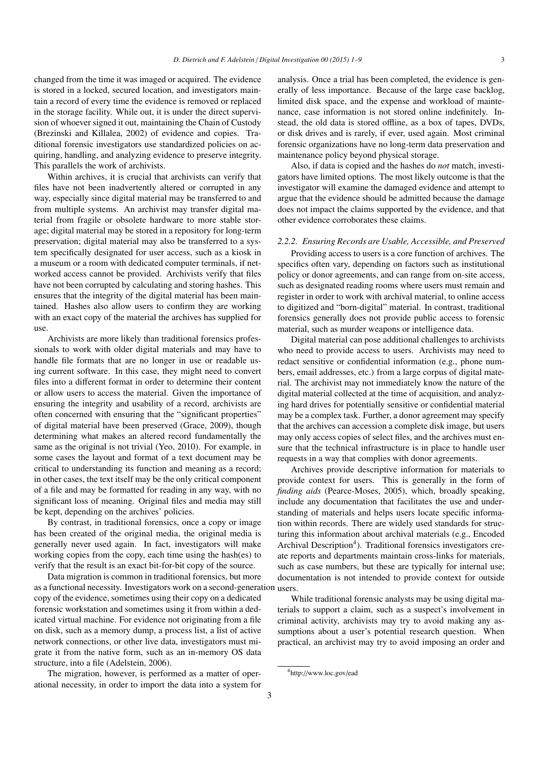changed from the time it was imaged or acquired. The evidence is stored in a locked, secured location, and investigators maintain a record of every time the evidence is removed or replaced in the storage facility. While out, it is under the direct supervision of whoever signed it out, maintaining the Chain of Custody (Brezinski and Killalea, 2002) of evidence and copies. Traditional forensic investigators use standardized policies on acquiring, handling, and analyzing evidence to preserve integrity. This parallels the work of archivists.

Within archives, it is crucial that archivists can verify that files have not been inadvertently altered or corrupted in any way, especially since digital material may be transferred to and from multiple systems. An archivist may transfer digital material from fragile or obsolete hardware to more stable storage; digital material may be stored in a repository for long-term preservation; digital material may also be transferred to a system specifically designated for user access, such as a kiosk in a museum or a room with dedicated computer terminals, if networked access cannot be provided. Archivists verify that files have not been corrupted by calculating and storing hashes. This ensures that the integrity of the digital material has been maintained. Hashes also allow users to confirm they are working with an exact copy of the material the archives has supplied for use.

Archivists are more likely than traditional forensics professionals to work with older digital materials and may have to handle file formats that are no longer in use or readable using current software. In this case, they might need to convert files into a different format in order to determine their content or allow users to access the material. Given the importance of ensuring the integrity and usability of a record, archivists are often concerned with ensuring that the "significant properties" of digital material have been preserved (Grace, 2009), though determining what makes an altered record fundamentally the same as the original is not trivial (Yeo, 2010). For example, in some cases the layout and format of a text document may be critical to understanding its function and meaning as a record; in other cases, the text itself may be the only critical component of a file and may be formatted for reading in any way, with no significant loss of meaning. Original files and media may still be kept, depending on the archives' policies.

By contrast, in traditional forensics, once a copy or image has been created of the original media, the original media is generally never used again. In fact, investigators will make working copies from the copy, each time using the hash(es) to verify that the result is an exact bit-for-bit copy of the source.

Data migration is common in traditional forensics, but more as a functional necessity. Investigators work on a second-generation users. copy of the evidence, sometimes using their copy on a dedicated forensic workstation and sometimes using it from within a dedicated virtual machine. For evidence not originating from a file on disk, such as a memory dump, a process list, a list of active network connections, or other live data, investigators must migrate it from the native form, such as an in-memory OS data structure, into a file (Adelstein, 2006).

The migration, however, is performed as a matter of operational necessity, in order to import the data into a system for analysis. Once a trial has been completed, the evidence is generally of less importance. Because of the large case backlog, limited disk space, and the expense and workload of maintenance, case information is not stored online indefinitely. Instead, the old data is stored offline, as a box of tapes, DVDs, or disk drives and is rarely, if ever, used again. Most criminal forensic organizations have no long-term data preservation and maintenance policy beyond physical storage.

Also, if data is copied and the hashes do *not* match, investigators have limited options. The most likely outcome is that the investigator will examine the damaged evidence and attempt to argue that the evidence should be admitted because the damage does not impact the claims supported by the evidence, and that other evidence corroborates these claims.

# *2.2.2. Ensuring Records are Usable, Accessible, and Preserved*

Providing access to users is a core function of archives. The specifics often vary, depending on factors such as institutional policy or donor agreements, and can range from on-site access, such as designated reading rooms where users must remain and register in order to work with archival material, to online access to digitized and "born-digital" material. In contrast, traditional forensics generally does not provide public access to forensic material, such as murder weapons or intelligence data.

Digital material can pose additional challenges to archivists who need to provide access to users. Archivists may need to redact sensitive or confidential information (e.g., phone numbers, email addresses, etc.) from a large corpus of digital material. The archivist may not immediately know the nature of the digital material collected at the time of acquisition, and analyzing hard drives for potentially sensitive or confidential material may be a complex task. Further, a donor agreement may specify that the archives can accession a complete disk image, but users may only access copies of select files, and the archives must ensure that the technical infrastructure is in place to handle user requests in a way that complies with donor agreements.

Archives provide descriptive information for materials to provide context for users. This is generally in the form of *finding aids* (Pearce-Moses, 2005), which, broadly speaking, include any documentation that facilitates the use and understanding of materials and helps users locate specific information within records. There are widely used standards for structuring this information about archival materials (e.g., Encoded Archival Description<sup>4</sup>). Traditional forensics investigators create reports and departments maintain cross-links for materials, such as case numbers, but these are typically for internal use; documentation is not intended to provide context for outside

While traditional forensic analysts may be using digital materials to support a claim, such as a suspect's involvement in criminal activity, archivists may try to avoid making any assumptions about a user's potential research question. When practical, an archivist may try to avoid imposing an order and

3

<sup>4</sup>http://www.loc.gov/ead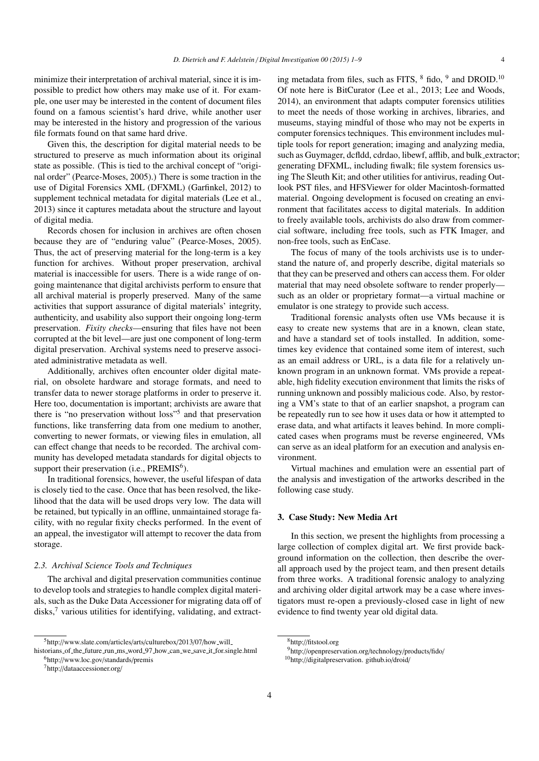minimize their interpretation of archival material, since it is impossible to predict how others may make use of it. For example, one user may be interested in the content of document files found on a famous scientist's hard drive, while another user may be interested in the history and progression of the various file formats found on that same hard drive.

Given this, the description for digital material needs to be structured to preserve as much information about its original state as possible. (This is tied to the archival concept of "original order" (Pearce-Moses, 2005).) There is some traction in the use of Digital Forensics XML (DFXML) (Garfinkel, 2012) to supplement technical metadata for digital materials (Lee et al., 2013) since it captures metadata about the structure and layout of digital media.

Records chosen for inclusion in archives are often chosen because they are of "enduring value" (Pearce-Moses, 2005). Thus, the act of preserving material for the long-term is a key function for archives. Without proper preservation, archival material is inaccessible for users. There is a wide range of ongoing maintenance that digital archivists perform to ensure that all archival material is properly preserved. Many of the same activities that support assurance of digital materials' integrity, authenticity, and usability also support their ongoing long-term preservation. *Fixity checks*—ensuring that files have not been corrupted at the bit level—are just one component of long-term digital preservation. Archival systems need to preserve associated administrative metadata as well.

Additionally, archives often encounter older digital material, on obsolete hardware and storage formats, and need to transfer data to newer storage platforms in order to preserve it. Here too, documentation is important; archivists are aware that there is "no preservation without loss"<sup>5</sup> and that preservation functions, like transferring data from one medium to another, converting to newer formats, or viewing files in emulation, all can effect change that needs to be recorded. The archival community has developed metadata standards for digital objects to support their preservation (i.e., PREMIS<sup>6</sup>).

In traditional forensics, however, the useful lifespan of data is closely tied to the case. Once that has been resolved, the likelihood that the data will be used drops very low. The data will be retained, but typically in an offline, unmaintained storage facility, with no regular fixity checks performed. In the event of an appeal, the investigator will attempt to recover the data from storage.

## *2.3. Archival Science Tools and Techniques*

The archival and digital preservation communities continue to develop tools and strategies to handle complex digital materials, such as the Duke Data Accessioner for migrating data off of  $disks$ ,<sup>7</sup> various utilities for identifying, validating, and extract-

The focus of many of the tools archivists use is to understand the nature of, and properly describe, digital materials so that they can be preserved and others can access them. For older material that may need obsolete software to render properly such as an older or proprietary format—a virtual machine or emulator is one strategy to provide such access.

Traditional forensic analysts often use VMs because it is easy to create new systems that are in a known, clean state, and have a standard set of tools installed. In addition, sometimes key evidence that contained some item of interest, such as an email address or URL, is a data file for a relatively unknown program in an unknown format. VMs provide a repeatable, high fidelity execution environment that limits the risks of running unknown and possibly malicious code. Also, by restoring a VM's state to that of an earlier snapshot, a program can be repeatedly run to see how it uses data or how it attempted to erase data, and what artifacts it leaves behind. In more complicated cases when programs must be reverse engineered, VMs can serve as an ideal platform for an execution and analysis environment.

Virtual machines and emulation were an essential part of the analysis and investigation of the artworks described in the following case study.

## 3. Case Study: New Media Art

In this section, we present the highlights from processing a large collection of complex digital art. We first provide background information on the collection, then describe the overall approach used by the project team, and then present details from three works. A traditional forensic analogy to analyzing and archiving older digital artwork may be a case where investigators must re-open a previously-closed case in light of new evidence to find twenty year old digital data.

<sup>5</sup>http://www.slate.com/articles/arts/culturebox/2013/07/how will

historians of the future run ms word 97 how can we save it for.single.html <sup>6</sup>http://www.loc.gov/standards/premis

ing metadata from files, such as FITS, <sup>8</sup> fido, <sup>9</sup> and DROID.<sup>10</sup> Of note here is BitCurator (Lee et al., 2013; Lee and Woods, 2014), an environment that adapts computer forensics utilities to meet the needs of those working in archives, libraries, and museums, staying mindful of those who may not be experts in computer forensics techniques. This environment includes multiple tools for report generation; imaging and analyzing media, such as Guymager, dcfldd, cdrdao, libewf, afflib, and bulk extractor; generating DFXML, including fiwalk; file system forensics using The Sleuth Kit; and other utilities for antivirus, reading Outlook PST files, and HFSViewer for older Macintosh-formatted material. Ongoing development is focused on creating an environment that facilitates access to digital materials. In addition to freely available tools, archivists do also draw from commercial software, including free tools, such as FTK Imager, and non-free tools, such as EnCase.

<sup>8</sup>http://fitstool.org

<sup>9</sup>http://openpreservation.org/technology/products/fido/

<sup>10</sup>http://digitalpreservation. github.io/droid/

<sup>7</sup>http://dataaccessioner.org/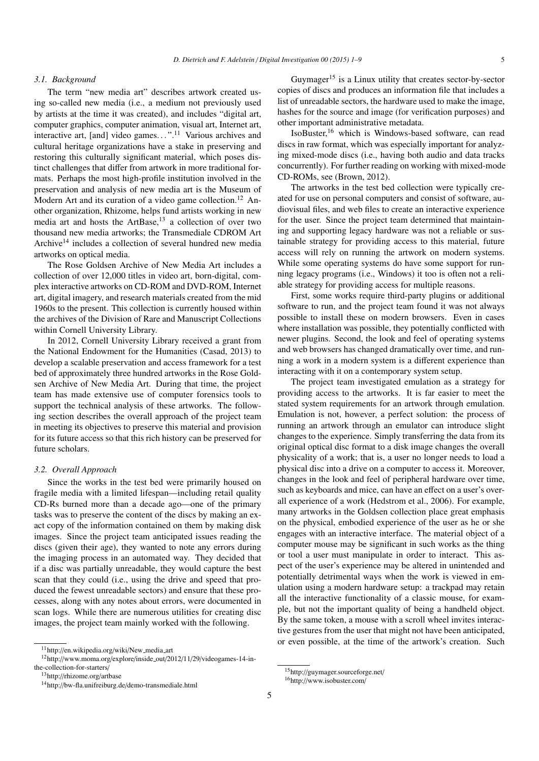## *3.1. Background*

The term "new media art" describes artwork created using so-called new media (i.e., a medium not previously used by artists at the time it was created), and includes "digital art, computer graphics, computer animation, visual art, Internet art, interactive art, [and] video games. . . ".<sup>11</sup> Various archives and cultural heritage organizations have a stake in preserving and restoring this culturally significant material, which poses distinct challenges that differ from artwork in more traditional formats. Perhaps the most high-profile institution involved in the preservation and analysis of new media art is the Museum of Modern Art and its curation of a video game collection.<sup>12</sup> Another organization, Rhizome, helps fund artists working in new media art and hosts the ArtBase,<sup>13</sup> a collection of over two thousand new media artworks; the Transmediale CDROM Art Archive<sup>14</sup> includes a collection of several hundred new media artworks on optical media.

The Rose Goldsen Archive of New Media Art includes a collection of over 12,000 titles in video art, born-digital, complex interactive artworks on CD-ROM and DVD-ROM, Internet art, digital imagery, and research materials created from the mid 1960s to the present. This collection is currently housed within the archives of the Division of Rare and Manuscript Collections within Cornell University Library.

In 2012, Cornell University Library received a grant from the National Endowment for the Humanities (Casad, 2013) to develop a scalable preservation and access framework for a test bed of approximately three hundred artworks in the Rose Goldsen Archive of New Media Art. During that time, the project team has made extensive use of computer forensics tools to support the technical analysis of these artworks. The following section describes the overall approach of the project team in meeting its objectives to preserve this material and provision for its future access so that this rich history can be preserved for future scholars.

# *3.2. Overall Approach*

Since the works in the test bed were primarily housed on fragile media with a limited lifespan—including retail quality CD-Rs burned more than a decade ago—one of the primary tasks was to preserve the content of the discs by making an exact copy of the information contained on them by making disk images. Since the project team anticipated issues reading the discs (given their age), they wanted to note any errors during the imaging process in an automated way. They decided that if a disc was partially unreadable, they would capture the best scan that they could (i.e., using the drive and speed that produced the fewest unreadable sectors) and ensure that these processes, along with any notes about errors, were documented in scan logs. While there are numerous utilities for creating disc images, the project team mainly worked with the following.

<sup>13</sup>http://rhizome.org/artbase

Guymager<sup>15</sup> is a Linux utility that creates sector-by-sector copies of discs and produces an information file that includes a list of unreadable sectors, the hardware used to make the image, hashes for the source and image (for verification purposes) and other important administrative metadata.

IsoBuster,<sup>16</sup> which is Windows-based software, can read discs in raw format, which was especially important for analyzing mixed-mode discs (i.e., having both audio and data tracks concurrently). For further reading on working with mixed-mode CD-ROMs, see (Brown, 2012).

The artworks in the test bed collection were typically created for use on personal computers and consist of software, audiovisual files, and web files to create an interactive experience for the user. Since the project team determined that maintaining and supporting legacy hardware was not a reliable or sustainable strategy for providing access to this material, future access will rely on running the artwork on modern systems. While some operating systems do have some support for running legacy programs (i.e., Windows) it too is often not a reliable strategy for providing access for multiple reasons.

First, some works require third-party plugins or additional software to run, and the project team found it was not always possible to install these on modern browsers. Even in cases where installation was possible, they potentially conflicted with newer plugins. Second, the look and feel of operating systems and web browsers has changed dramatically over time, and running a work in a modern system is a different experience than interacting with it on a contemporary system setup.

The project team investigated emulation as a strategy for providing access to the artworks. It is far easier to meet the stated system requirements for an artwork through emulation. Emulation is not, however, a perfect solution: the process of running an artwork through an emulator can introduce slight changes to the experience. Simply transferring the data from its original optical disc format to a disk image changes the overall physicality of a work; that is, a user no longer needs to load a physical disc into a drive on a computer to access it. Moreover, changes in the look and feel of peripheral hardware over time, such as keyboards and mice, can have an effect on a user's overall experience of a work (Hedstrom et al., 2006). For example, many artworks in the Goldsen collection place great emphasis on the physical, embodied experience of the user as he or she engages with an interactive interface. The material object of a computer mouse may be significant in such works as the thing or tool a user must manipulate in order to interact. This aspect of the user's experience may be altered in unintended and potentially detrimental ways when the work is viewed in emulation using a modern hardware setup: a trackpad may retain all the interactive functionality of a classic mouse, for example, but not the important quality of being a handheld object. By the same token, a mouse with a scroll wheel invites interactive gestures from the user that might not have been anticipated, or even possible, at the time of the artwork's creation. Such

<sup>11</sup>http://en.wikipedia.org/wiki/New media art

<sup>12</sup>http://www.moma.org/explore/inside out/2012/11/29/videogames-14-inthe-collection-for-starters/

<sup>14</sup>http://bw-fla.unifreiburg.de/demo-transmediale.html

<sup>15</sup>http://guymager.sourceforge.net/

<sup>16</sup>http://www.isobuster.com/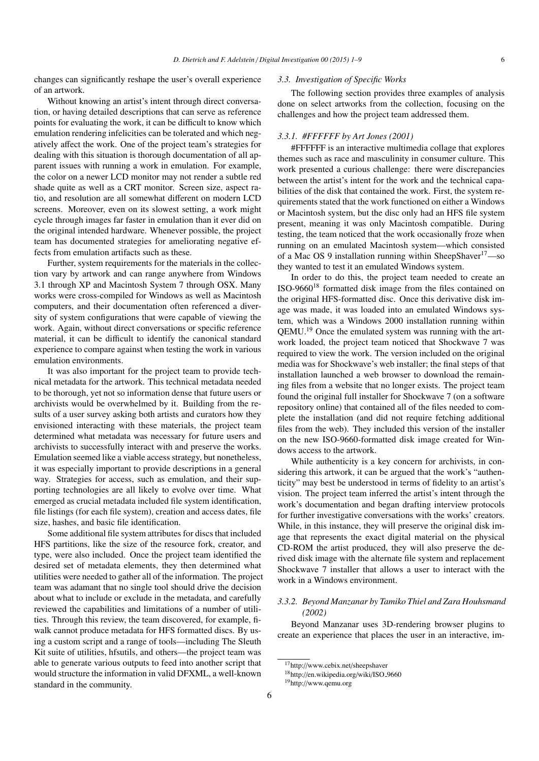changes can significantly reshape the user's overall experience of an artwork.

Without knowing an artist's intent through direct conversation, or having detailed descriptions that can serve as reference points for evaluating the work, it can be difficult to know which emulation rendering infelicities can be tolerated and which negatively affect the work. One of the project team's strategies for dealing with this situation is thorough documentation of all apparent issues with running a work in emulation. For example, the color on a newer LCD monitor may not render a subtle red shade quite as well as a CRT monitor. Screen size, aspect ratio, and resolution are all somewhat different on modern LCD screens. Moreover, even on its slowest setting, a work might cycle through images far faster in emulation than it ever did on the original intended hardware. Whenever possible, the project team has documented strategies for ameliorating negative effects from emulation artifacts such as these.

Further, system requirements for the materials in the collection vary by artwork and can range anywhere from Windows 3.1 through XP and Macintosh System 7 through OSX. Many works were cross-compiled for Windows as well as Macintosh computers, and their documentation often referenced a diversity of system configurations that were capable of viewing the work. Again, without direct conversations or specific reference material, it can be difficult to identify the canonical standard experience to compare against when testing the work in various emulation environments.

It was also important for the project team to provide technical metadata for the artwork. This technical metadata needed to be thorough, yet not so information dense that future users or archivists would be overwhelmed by it. Building from the results of a user survey asking both artists and curators how they envisioned interacting with these materials, the project team determined what metadata was necessary for future users and archivists to successfully interact with and preserve the works. Emulation seemed like a viable access strategy, but nonetheless, it was especially important to provide descriptions in a general way. Strategies for access, such as emulation, and their supporting technologies are all likely to evolve over time. What emerged as crucial metadata included file system identification, file listings (for each file system), creation and access dates, file size, hashes, and basic file identification.

Some additional file system attributes for discs that included HFS partitions, like the size of the resource fork, creator, and type, were also included. Once the project team identified the desired set of metadata elements, they then determined what utilities were needed to gather all of the information. The project team was adamant that no single tool should drive the decision about what to include or exclude in the metadata, and carefully reviewed the capabilities and limitations of a number of utilities. Through this review, the team discovered, for example, fiwalk cannot produce metadata for HFS formatted discs. By using a custom script and a range of tools—including The Sleuth Kit suite of utilities, hfsutils, and others—the project team was able to generate various outputs to feed into another script that would structure the information in valid DFXML, a well-known standard in the community.

#### *3.3. Investigation of Specific Works*

The following section provides three examples of analysis done on select artworks from the collection, focusing on the challenges and how the project team addressed them.

# *3.3.1. #FFFFFF by Art Jones (2001)*

#FFFFFF is an interactive multimedia collage that explores themes such as race and masculinity in consumer culture. This work presented a curious challenge: there were discrepancies between the artist's intent for the work and the technical capabilities of the disk that contained the work. First, the system requirements stated that the work functioned on either a Windows or Macintosh system, but the disc only had an HFS file system present, meaning it was only Macintosh compatible. During testing, the team noticed that the work occasionally froze when running on an emulated Macintosh system—which consisted of a Mac OS 9 installation running within SheepShaver<sup>17</sup>—so they wanted to test it an emulated Windows system.

In order to do this, the project team needed to create an ISO-9660<sup>18</sup> formatted disk image from the files contained on the original HFS-formatted disc. Once this derivative disk image was made, it was loaded into an emulated Windows system, which was a Windows 2000 installation running within QEMU.<sup>19</sup> Once the emulated system was running with the artwork loaded, the project team noticed that Shockwave 7 was required to view the work. The version included on the original media was for Shockwave's web installer; the final steps of that installation launched a web browser to download the remaining files from a website that no longer exists. The project team found the original full installer for Shockwave 7 (on a software repository online) that contained all of the files needed to complete the installation (and did not require fetching additional files from the web). They included this version of the installer on the new ISO-9660-formatted disk image created for Windows access to the artwork.

While authenticity is a key concern for archivists, in considering this artwork, it can be argued that the work's "authenticity" may best be understood in terms of fidelity to an artist's vision. The project team inferred the artist's intent through the work's documentation and began drafting interview protocols for further investigative conversations with the works' creators. While, in this instance, they will preserve the original disk image that represents the exact digital material on the physical CD-ROM the artist produced, they will also preserve the derived disk image with the alternate file system and replacement Shockwave 7 installer that allows a user to interact with the work in a Windows environment.

# *3.3.2. Beyond Manzanar by Tamiko Thiel and Zara Houhsmand (2002)*

Beyond Manzanar uses 3D-rendering browser plugins to create an experience that places the user in an interactive, im-

<sup>17</sup>http://www.cebix.net/sheepshaver

<sup>18</sup>http://en.wikipedia.org/wiki/ISO 9660

<sup>19</sup>http://www.qemu.org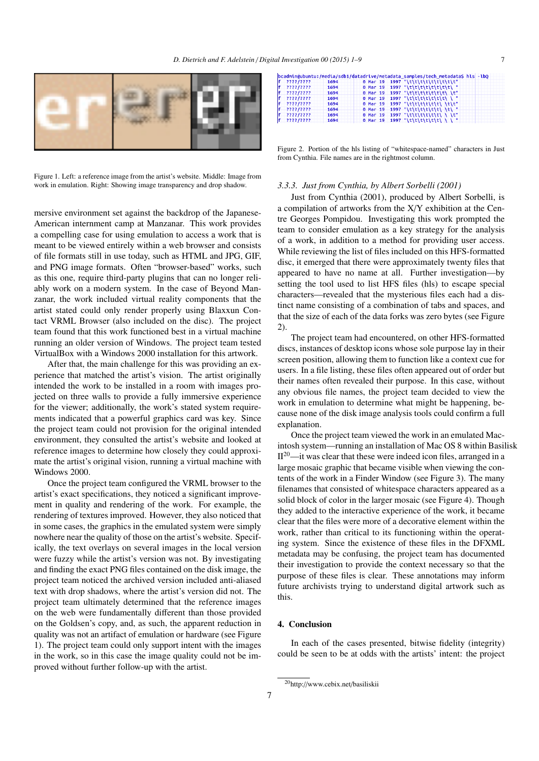

Figure 1. Left: a reference image from the artist's website. Middle: Image from work in emulation. Right: Showing image transparency and drop shadow.

mersive environment set against the backdrop of the Japanese-American internment camp at Manzanar. This work provides a compelling case for using emulation to access a work that is meant to be viewed entirely within a web browser and consists of file formats still in use today, such as HTML and JPG, GIF, and PNG image formats. Often "browser-based" works, such as this one, require third-party plugins that can no longer reliably work on a modern system. In the case of Beyond Manzanar, the work included virtual reality components that the artist stated could only render properly using Blaxxun Contact VRML Browser (also included on the disc). The project team found that this work functioned best in a virtual machine running an older version of Windows. The project team tested VirtualBox with a Windows 2000 installation for this artwork.

After that, the main challenge for this was providing an experience that matched the artist's vision. The artist originally intended the work to be installed in a room with images projected on three walls to provide a fully immersive experience for the viewer; additionally, the work's stated system requirements indicated that a powerful graphics card was key. Since the project team could not provision for the original intended environment, they consulted the artist's website and looked at reference images to determine how closely they could approximate the artist's original vision, running a virtual machine with Windows 2000.

Once the project team configured the VRML browser to the artist's exact specifications, they noticed a significant improvement in quality and rendering of the work. For example, the rendering of textures improved. However, they also noticed that in some cases, the graphics in the emulated system were simply nowhere near the quality of those on the artist's website. Specifically, the text overlays on several images in the local version were fuzzy while the artist's version was not. By investigating and finding the exact PNG files contained on the disk image, the project team noticed the archived version included anti-aliased text with drop shadows, where the artist's version did not. The project team ultimately determined that the reference images on the web were fundamentally different than those provided on the Goldsen's copy, and, as such, the apparent reduction in quality was not an artifact of emulation or hardware (see Figure 1). The project team could only support intent with the images in the work, so in this case the image quality could not be improved without further follow-up with the artist.

|     |               | bcadmin@ubuntu:/media/sdb1/datadrive/metadata samples/tech metadata\$ hls -lb0 |  |                                        |  |  |
|-----|---------------|--------------------------------------------------------------------------------|--|----------------------------------------|--|--|
|     | $f$ ????/???? | 1694                                                                           |  | 0 Mar 19 1997 "\t\t\t\t\t\t\t\t\t'     |  |  |
|     | $f$ ????/???? | 1694                                                                           |  | $0$ Mar 19 1997 "\t\t\t\t\t\t\t\t\t\ " |  |  |
| ١f  | ????/????     | 1694                                                                           |  | 0 Mar 19 1997 "\t\t\t\t\t\t\t\ \t"     |  |  |
|     | 7777/7777     | 1694                                                                           |  | 0 Mar 19 1997 "\t\t\t\t\t\t\t\ \ "     |  |  |
|     | ????/????     | 1694                                                                           |  | 0 Mar 19 1997 "\t\t\t\t\t\t\ \t\t"     |  |  |
| lf. | ????/????     | 1694                                                                           |  | 0 Mar 19 1997 "\t\t\t\t\t\t\ \t\ "     |  |  |
| lf. | ????/????     | 1694                                                                           |  | 0 Mar 19 1997 "\t\t\t\t\t\t\\\ \ \t"   |  |  |
|     | $f$ ????/???? | 1694                                                                           |  | 0 Mar 19 1997 "\t\t\t\t\t\t\\ \ \ "    |  |  |

Figure 2. Portion of the hls listing of "whitespace-named" characters in Just from Cynthia. File names are in the rightmost column.

## *3.3.3. Just from Cynthia, by Albert Sorbelli (2001)*

Just from Cynthia (2001), produced by Albert Sorbelli, is a compilation of artworks from the X/Y exhibition at the Centre Georges Pompidou. Investigating this work prompted the team to consider emulation as a key strategy for the analysis of a work, in addition to a method for providing user access. While reviewing the list of files included on this HFS-formatted disc, it emerged that there were approximately twenty files that appeared to have no name at all. Further investigation—by setting the tool used to list HFS files (hls) to escape special characters—revealed that the mysterious files each had a distinct name consisting of a combination of tabs and spaces, and that the size of each of the data forks was zero bytes (see Figure 2).

The project team had encountered, on other HFS-formatted discs, instances of desktop icons whose sole purpose lay in their screen position, allowing them to function like a context cue for users. In a file listing, these files often appeared out of order but their names often revealed their purpose. In this case, without any obvious file names, the project team decided to view the work in emulation to determine what might be happening, because none of the disk image analysis tools could confirm a full explanation.

Once the project team viewed the work in an emulated Macintosh system—running an installation of Mac OS 8 within Basilisk  $II^{20}$ —it was clear that these were indeed icon files, arranged in a large mosaic graphic that became visible when viewing the contents of the work in a Finder Window (see Figure 3). The many filenames that consisted of whitespace characters appeared as a solid block of color in the larger mosaic (see Figure 4). Though they added to the interactive experience of the work, it became clear that the files were more of a decorative element within the work, rather than critical to its functioning within the operating system. Since the existence of these files in the DFXML metadata may be confusing, the project team has documented their investigation to provide the context necessary so that the purpose of these files is clear. These annotations may inform future archivists trying to understand digital artwork such as this.

## 4. Conclusion

In each of the cases presented, bitwise fidelity (integrity) could be seen to be at odds with the artists' intent: the project

<sup>20</sup>http://www.cebix.net/basiliskii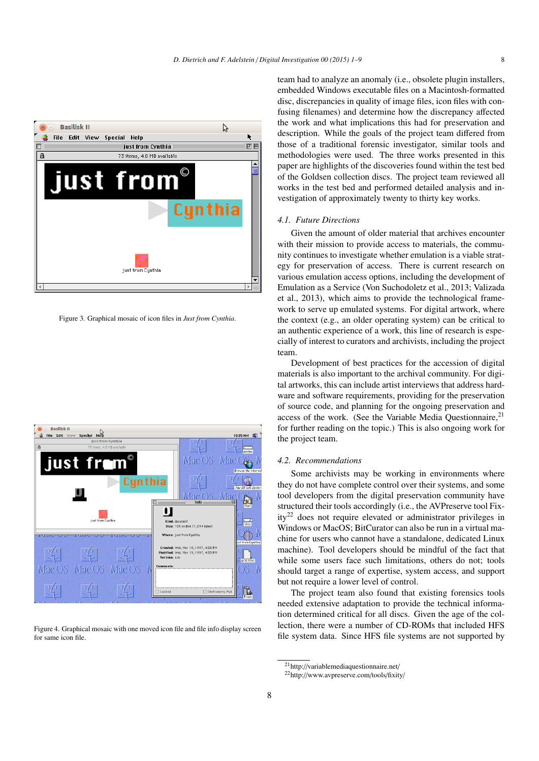

Figure 3. Graphical mosaic of icon files in *Just from Cynthia*.



Figure 4. Graphical mosaic with one moved icon file and file info display screen for same icon file.

team had to analyze an anomaly (i.e., obsolete plugin installers, embedded Windows executable files on a Macintosh-formatted disc, discrepancies in quality of image files, icon files with confusing filenames) and determine how the discrepancy affected the work and what implications this had for preservation and description. While the goals of the project team differed from those of a traditional forensic investigator, similar tools and methodologies were used. The three works presented in this paper are highlights of the discoveries found within the test bed of the Goldsen collection discs. The project team reviewed all works in the test bed and performed detailed analysis and investigation of approximately twenty to thirty key works.

#### *4.1. Future Directions*

Given the amount of older material that archives encounter with their mission to provide access to materials, the community continues to investigate whether emulation is a viable strategy for preservation of access. There is current research on various emulation access options, including the development of Emulation as a Service (Von Suchodoletz et al., 2013; Valizada et al., 2013), which aims to provide the technological framework to serve up emulated systems. For digital artwork, where the context (e.g., an older operating system) can be critical to an authentic experience of a work, this line of research is especially of interest to curators and archivists, including the project team.

Development of best practices for the accession of digital materials is also important to the archival community. For digital artworks, this can include artist interviews that address hardware and software requirements, providing for the preservation of source code, and planning for the ongoing preservation and access of the work. (See the Variable Media Questionnaire,  $2<sup>1</sup>$ for further reading on the topic.) This is also ongoing work for the project team.

# *4.2. Recommendations*

Some archivists may be working in environments where they do not have complete control over their systems, and some tool developers from the digital preservation community have structured their tools accordingly (i.e., the AVPreserve tool Fix $ity^{22}$  does not require elevated or administrator privileges in Windows or MacOS; BitCurator can also be run in a virtual machine for users who cannot have a standalone, dedicated Linux machine). Tool developers should be mindful of the fact that while some users face such limitations, others do not; tools should target a range of expertise, system access, and support but not require a lower level of control.

The project team also found that existing forensics tools needed extensive adaptation to provide the technical information determined critical for all discs. Given the age of the collection, there were a number of CD-ROMs that included HFS file system data. Since HFS file systems are not supported by

<sup>21</sup>http://variablemediaquestionnaire.net/

<sup>22</sup>http://www.avpreserve.com/tools/fixity/